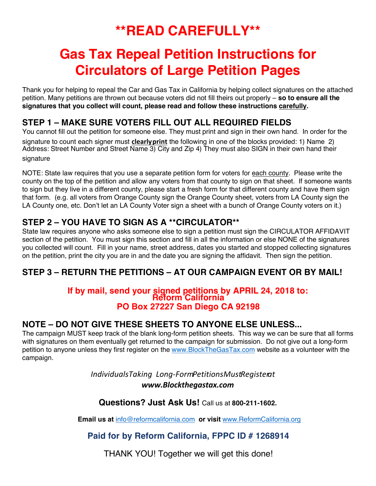# **\*\*READ CAREFULLY\*\***

# **Gas Tax Repeal Petition Instructions for Circulators of Large Petition Pages**

Thank you for helping to repeal the Car and Gas Tax in California by helping collect signatures on the attached petition. Many petitions are thrown out because voters did not fill theirs out properly – **so to ensure all the signatures that you collect will count, please read and follow these instructions carefully.** 

## **STEP 1 – MAKE SURE VOTERS FILL OUT ALL REQUIRED FIELDS**

You cannot fill out the petition for someone else. They must print and sign in their own hand. In order for the signature to count each signer must **clearlyprint** the following in one of the blocks provided: 1) Name 2) Address: Street Number and Street Name 3) City and Zip 4) They must also SIGN in their own hand their signature

NOTE: State law requires that you use a separate petition form for voters for each county. Please write the county on the top of the petition and allow any voters from that county to sign on that sheet. If someone wants to sign but they live in a different county, please start a fresh form for that different county and have them sign that form. (e.g. all voters from Orange County sign the Orange County sheet, voters from LA County sign the LA County one, etc. Don't let an LA County Voter sign a sheet with a bunch of Orange County voters on it.)

# **STEP 2 – YOU HAVE TO SIGN AS A \*\*CIRCULATOR\*\***

State law requires anyone who asks someone else to sign a petition must sign the CIRCULATOR AFFIDAVIT section of the petition. You must sign this section and fill in all the information or else NONE of the signatures you collected will count. Fill in your name, street address, dates you started and stopped collecting signatures on the petition, print the city you are in and the date you are signing the affidavit. Then sign the petition.

# **STEP 3 – RETURN THE PETITIONS – AT OUR CAMPAIGN EVENT OR BY MAIL!**

#### **If by mail, send your signed petitions by APRIL 24, 2018 to: Reform California PO Box 27227 San Diego CA 92198**

### **NOTE – DO NOT GIVE THESE SHEETS TO ANYONE ELSE UNLESS...**

The campaign MUST keep track of the blank long-form petition sheets. This way we can be sure that all forms with signatures on them eventually get returned to the campaign for submission. Do not give out a long-form petition to anyone unless they first register on the www.BlockTheGasTax.com website as a volunteer with the campaign.

> *IndividualsTaking Long-FormPetitionsMustRegisterat www.Blockthegastax.com*

### **Questions? Just Ask Us!** Call us at **800-211-1602.**

**Email us at** info@reformcalifornia.com **or visit** www.ReformCalifornia.org

### **Paid for by Reform California, FPPC ID # 1268914**

THANK YOU! Together we will get this done!